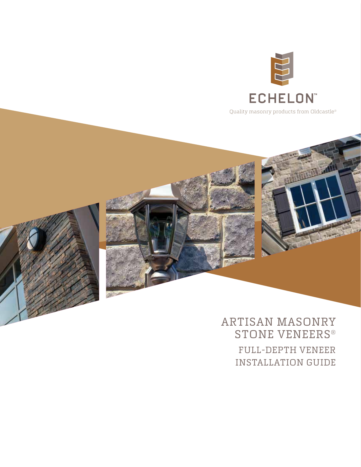

Quality masonry products from Oldcastle®



# ARTISAN MASONRY STONE VENEERS® FULL-DEPTH VENEER INSTALLATION GUIDE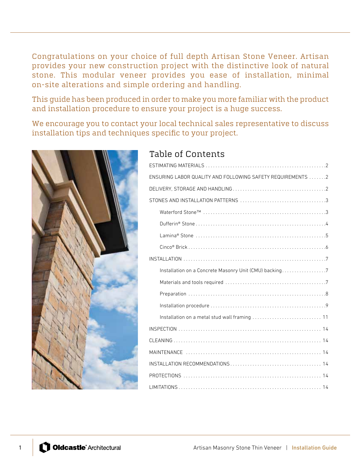Congratulations on your choice of full depth Artisan Stone Veneer. Artisan provides your new construction project with the distinctive look of natural stone. This modular veneer provides you ease of installation, minimal on-site alterations and simple ordering and handling.

This guide has been produced in order to make you more familiar with the product and installation procedure to ensure your project is a huge success.

We encourage you to contact your local technical sales representative to discuss installation tips and techniques specific to your project.



# Table of Contents

| ENSURING LABOR QUALITY AND FOLLOWING SAFETY REQUIREMENTS  2 |  |  |  |  |  |  |  |
|-------------------------------------------------------------|--|--|--|--|--|--|--|
|                                                             |  |  |  |  |  |  |  |
|                                                             |  |  |  |  |  |  |  |
|                                                             |  |  |  |  |  |  |  |
|                                                             |  |  |  |  |  |  |  |
|                                                             |  |  |  |  |  |  |  |
|                                                             |  |  |  |  |  |  |  |
|                                                             |  |  |  |  |  |  |  |
| Installation on a Concrete Masonry Unit (CMU) backing7      |  |  |  |  |  |  |  |
|                                                             |  |  |  |  |  |  |  |
|                                                             |  |  |  |  |  |  |  |
|                                                             |  |  |  |  |  |  |  |
|                                                             |  |  |  |  |  |  |  |
|                                                             |  |  |  |  |  |  |  |
|                                                             |  |  |  |  |  |  |  |
|                                                             |  |  |  |  |  |  |  |
|                                                             |  |  |  |  |  |  |  |
|                                                             |  |  |  |  |  |  |  |
|                                                             |  |  |  |  |  |  |  |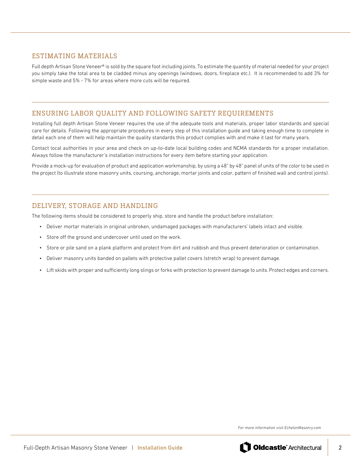## ESTIMATING MATERIALS

Full depth Artisan Stone Veneer® is sold by the square foot including joints. To estimate the quantity of material needed for your project you simply take the total area to be cladded minus any openings (windows, doors, fireplace etc.). It is recommended to add 3% for simple waste and 5% - 7% for areas where more cuts will be required.

# ENSURING LABOR QUALITY AND FOLLOWING SAFETY REQUIREMENTS

Installing full depth Artisan Stone Veneer requires the use of the adequate tools and materials, proper labor standards and special care for details. Following the appropriate procedures in every step of this installation guide and taking enough time to complete in detail each one of them will help maintain the quality standards this product complies with and make it last for many years.

Contact local authorities in your area and check on up-to-date local building codes and NCMA standards for a proper installation. Always follow the manufacturer's installation instructions for every item before starting your application.

Provide a mock-up for evaluation of product and application workmanship, by using a 48" by 48" panel of units of the color to be used in the project (to illustrate stone masonry units, coursing, anchorage, mortar joints and color, pattern of finished wall and control joints).

# DELIVERY, STORAGE AND HANDLING

The following items should be considered to properly ship, store and handle the product before installation:

- Deliver mortar materials in original unbroken, undamaged packages with manufacturers' labels intact and visible.
- Store off the ground and undercover until used on the work.
- Store or pile sand on a plank platform and protect from dirt and rubbish and thus prevent deterioration or contamination.
- Deliver masonry units banded on pallets with protective pallet covers (stretch wrap) to prevent damage.
- Lift skids with proper and sufficiently long slings or forks with protection to prevent damage to units. Protect edges and corners.

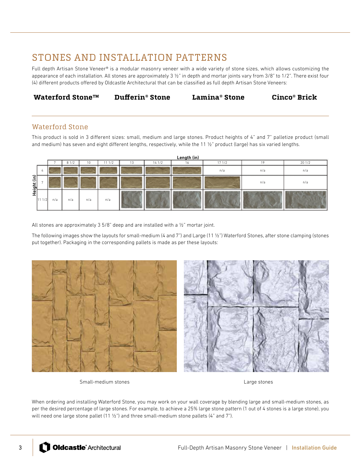# STONES AND INSTALLATION PATTERNS

Full depth Artisan Stone Veneer® is a modular masonry veneer with a wide variety of stone sizes, which allows customizing the appearance of each installation. All stones are approximately 3 ½" in depth and mortar joints vary from 3/8" to 1/2". There exist four (4) different products offered by Oldcastle Architectural that can be classified as full depth Artisan Stone Veneers:

**Waterford Stone™ Dufferin® Stone Lamina® Stone Cinco® Brick**

# Waterford Stone

This product is sold in 3 different sizes: small, medium and large stones. Product heights of 4" and 7" palletize product (small and medium) has seven and eight different lengths, respectively, while the 11 1/<sub>2</sub>" product (large) has six varied lengths.

|                    | Length (in) |     |      |     |        |    |        |    |       |     |        |
|--------------------|-------------|-----|------|-----|--------|----|--------|----|-------|-----|--------|
|                    |             |     | 81/2 | 10  | 11 1/2 | 13 | 14 1/2 | 16 | 171/2 | 19  | 20 1/2 |
|                    | 4           |     |      |     |        |    |        |    | n/a   | n/a | n/a    |
| 의<br><u>Height</u> |             |     |      |     |        |    |        |    |       | n/a | n/a    |
|                    | 111/2       | n/a | n/a  | n/a | n/a    |    |        |    |       |     |        |

All stones are approximately 3 5/8" deep and are installed with a ½" mortar joint.

The following images show the layouts for small-medium (4 and 7") and Large (11 ½") Waterford Stones, after stone clamping (stones put together). Packaging in the corresponding pallets is made as per these layouts:



Small-medium stones and the stones of the large stones being a large stones by Large stones

When ordering and installing Waterford Stone, you may work on your wall coverage by blending large and small-medium stones, as per the desired percentage of large stones. For example, to achieve a 25% large stone pattern (1 out of 4 stones is a large stone), you will need one large stone pallet (11  $\frac{1}{2}$ ") and three small-medium stone pallets (4" and 7").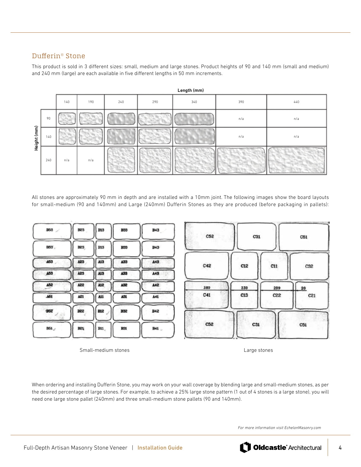# Dufferin® Stone

This product is sold in 3 different sizes: small, medium and large stones. Product heights of 90 and 140 mm (small and medium) and 240 mm (large) are each available in five different lengths in 50 mm increments.

| Length (mm) |     |     |     |     |     |     |     |     |
|-------------|-----|-----|-----|-----|-----|-----|-----|-----|
|             |     | 140 | 190 | 240 | 290 | 340 | 390 | 440 |
| Height (mm) | 90  |     |     |     |     |     | n/a | n/a |
|             | 140 |     |     |     |     |     | n/a | n/a |
|             | 240 | n/a | n/a |     |     |     |     |     |

All stones are approximately 90 mm in depth and are installed with a 10mm joint. The following images show the board layouts for small-medium (90 and 140mm) and Large (240mm) Dufferin Stones as they are produced (before packaging in pallets):



Small-medium stones and the stones of the large stones being a large stones by Large stones

When ordering and installing Dufferin Stone, you may work on your wall coverage by blending large and small-medium stones, as per the desired percentage of large stones. For example, to achieve a 25% large stone pattern (1 out of 4 stones is a large stone), you will need one large stone pallet (240mm) and three small-medium stone pallets (90 and 140mm).

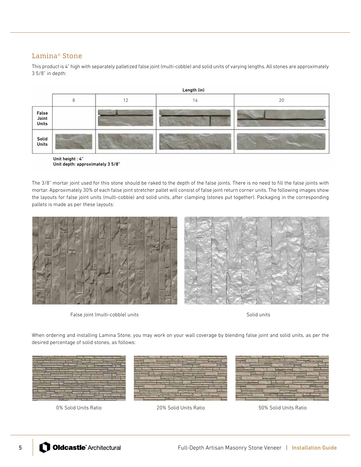# Lamina® Stone

This product is 4" high with separately palletized false joint (multi-cobble) and solid units of varying lengths. All stones are approximately 3 5/8" in depth:



Unit depth: approximately 3 5/8"

The 3/8" mortar joint used for this stone should be raked to the depth of the false joints. There is no need to fill the false joints with mortar. Approximately 30% of each false joint stretcher pallet will consist of false joint return corner units. The following images show the layouts for false joint units (multi-cobble) and solid units, after clamping (stones put together). Packaging in the corresponding pallets is made as per these layouts:



False joint (multi-cobble) units Solid units Solid units Solid units Solid units Solid units

When ordering and installing Lamina Stone, you may work on your wall coverage by blending false joint and solid units, as per the desired percentage of solid stones, as follows:



0% Solid Units Ratio 20% Solid Units Ratio 50% Solid Units Ratio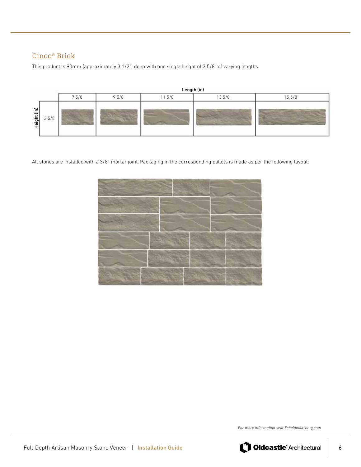# Cinco® Brick

This product is 90mm (approximately 3 1/2") deep with one single height of 3 5/8" of varying lengths:

|                                |      | Length (in) |      |       |       |        |  |  |  |  |
|--------------------------------|------|-------------|------|-------|-------|--------|--|--|--|--|
|                                |      | 75/8        | 95/8 | 115/8 | 135/8 | 15 5/8 |  |  |  |  |
| $\widehat{\epsilon}$<br>Height | 35/8 |             |      |       |       |        |  |  |  |  |

All stones are installed with a 3/8" mortar joint. Packaging in the corresponding pallets is made as per the following layout:



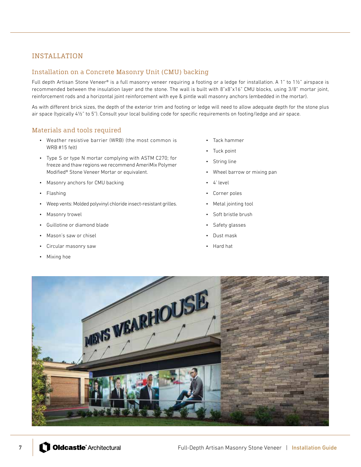# INSTALLATION

#### Installation on a Concrete Masonry Unit (CMU) backing

Full depth Artisan Stone Veneer® is a full masonry veneer requiring a footing or a ledge for installation. A 1" to 1½" airspace is recommended between the insulation layer and the stone. The wall is built with 8"x8"x16" CMU blocks, using 3/8" mortar joint, reinforcement rods and a horizontal joint reinforcement with eye & pintle wall masonry anchors (embedded in the mortar).

As with different brick sizes, the depth of the exterior trim and footing or ledge will need to allow adequate depth for the stone plus air space (typically 4½" to 5"). Consult your local building code for specific requirements on footing/ledge and air space.

## Materials and tools required

- Weather resistive barrier (WRB) (the most common is WRB #15 felt)
- Type S or type N mortar complying with ASTM C270; for freeze and thaw regions we recommend AmeriMix Polymer Modified® Stone Veneer Mortar or equivalent.
- Masonry anchors for CMU backing
- Flashing
- Weep vents: Molded polyvinyl chloride insect-resistant grilles.
- Masonry trowel
- Guillotine or diamond blade
- Mason's saw or chisel
- Circular masonry saw
- Mixing hoe
- Tack hammer
- Tuck point
- String line
- Wheel barrow or mixing pan
- 4' level
- Corner poles
- Metal jointing tool
- Soft bristle brush
- Safety glasses
- Dust mask
- Hard hat

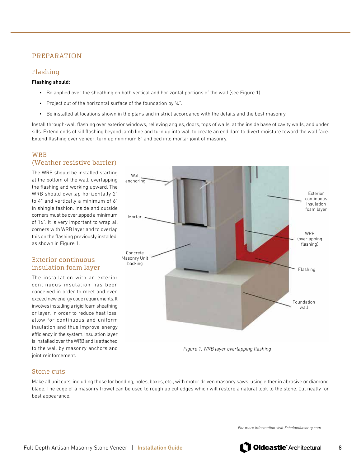# PREPARATION

#### Flashing

#### Flashing should:

- Be applied over the sheathing on both vertical and horizontal portions of the wall (see Figure 1)
- Project out of the horizontal surface of the foundation by ¼".
- Be installed at locations shown in the plans and in strict accordance with the details and the best masonry.

Install through-wall flashing over exterior windows, relieving angles, doors, tops of walls, at the inside base of cavity walls, and under sills. Extend ends of sill flashing beyond jamb line and turn up into wall to create an end dam to divert moisture toward the wall face. Extend flashing over veneer, turn up minimum 8" and bed into mortar joint of masonry.

#### WRB (Weather resistive barrier)

The WRB should be installed starting at the bottom of the wall, overlapping the flashing and working upward. The WRB should overlap horizontally 2" to 4" and vertically a minimum of 6" in shingle fashion. Inside and outside corners must be overlapped a minimum of 16". It is very important to wrap all corners with WRB layer and to overlap this on the flashing previously installed, as shown in Figure 1.

# Exterior continuous insulation foam layer

The installation with an exterior continuous insulation has been conceived in order to meet and even exceed new energy code requirements. It involves installing a rigid foam sheathing or layer, in order to reduce heat loss, allow for continuous and uniform insulation and thus improve energy efficiency in the system. Insulation layer is installed over the WRB and is attached to the wall by masonry anchors and joint reinforcement.



*Figure 1. WRB layer overlapping flashing*

## Stone cuts

Make all unit cuts, including those for bonding, holes, boxes, etc., with motor driven masonry saws, using either in abrasive or diamond blade. The edge of a masonry trowel can be used to rough up cut edges which will restore a natural look to the stone. Cut neatly for best appearance.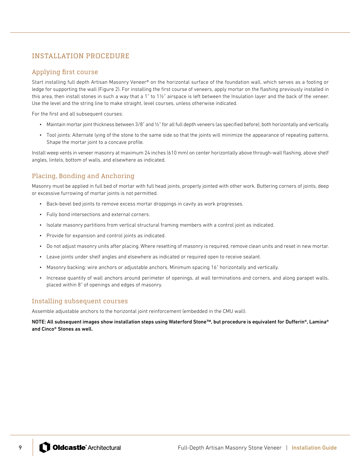# INSTALLATION PROCEDURE

#### Applying first course

Start installing full depth Artisan Masonry Veneer® on the horizontal surface of the foundation wall, which serves as a footing or ledge for supporting the wall (Figure 2). For installing the first course of veneers, apply mortar on the flashing previously installed in this area, then install stones in such a way that a 1" to  $1\frac{1}{2}$ " airspace is left between the Insulation layer and the back of the veneer. Use the level and the string line to make straight, level courses, unless otherwise indicated.

For the first and all subsequent courses:

- Maintain mortar joint thickness between 3/8" and ½" for all full depth veneers (as specified before), both horizontally and vertically.
- Tool joints: Alternate lying of the stone to the same side so that the joints will minimize the appearance of repeating patterns. Shape the mortar joint to a concave profile.

Install weep vents in veneer masonry at maximum 24 inches (610 mm) on center horizontally above through-wall flashing, above shelf angles, lintels, bottom of walls, and elsewhere as indicated.

# Placing, Bonding and Anchoring

Masonry must be applied in full bed of mortar with full head joints, properly jointed with other work. Buttering corners of joints, deep or excessive furrowing of mortar joints is not permitted.

- Back-bevel bed joints to remove excess mortar droppings in cavity as work progresses.
- Fully bond intersections and external corners.
- Isolate masonry partitions from vertical structural framing members with a control joint as indicated.
- Provide for expansion and control joints as indicated.
- Do not adjust masonry units after placing. Where resetting of masonry is required, remove clean units and reset in new mortar.
- Leave joints under shelf angles and elsewhere as indicated or required open to receive sealant.
- Masonry backing: wire anchors or adjustable anchors. Minimum spacing 16" horizontally and vertically.
- Increase quantity of wall anchors around perimeter of openings, at wall terminations and corners, and along parapet walls, placed within 8" of openings and edges of masonry.

## Installing subsequent courses

Assemble adjustable anchors to the horizontal joint reinforcement (embedded in the CMU wall).

NOTE: All subsequent images show installation steps using Waterford Stone™, but procedure is equivalent for Dufferin®, Lamina® and Cinco® Stones as well.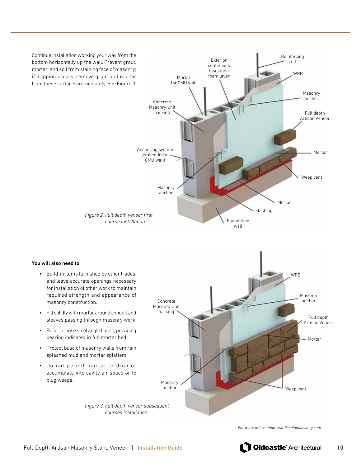Continue installation working your way from the bottom horizontally up the wall. Prevent grout, mortar, and soil from staining face of masonry; if dripping occurs, remove grout and mortar from these surfaces immediately. See Figure 3. Mortar Concrete Masonry Unit backing



You will also need to:

- Build-in items furnished by other trades, and leave accurate openings necessary for installation of other work to maintain required strength and appearance of masonry construction.
- Fill solidly with mortar around conduit and sleeves passing through masonry work.
- Build-in loose steel angle lintels, providing bearing indicated in full mortar bed.
- Protect base of masonry walls from rain splashed mud and mortar splatters.
- Do not permit mortar to drop or accumulate into cavity air space or to plug weeps.



*Figure 3. Full depth veneer subsequent courses installation*

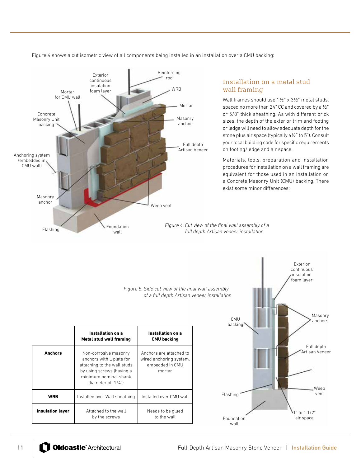Figure 4 shows a cut isometric view of all components being installed in an installation over a CMU backing:



# Installation on a metal stud wall framing

Wall frames should use 1½" x 3½" metal studs, spaced no more than 24" CC and covered by a ½" or 5/8" thick sheathing. As with different brick sizes, the depth of the exterior trim and footing or ledge will need to allow adequate depth for the stone plus air space (typically 4½" to 5"). Consult your local building code for specific requirements on footing/ledge and air space.

Materials, tools, preparation and installation procedures for installation on a wall framing are equivalent for those used in an installation on a Concrete Masonry Unit (CMU) backing. There exist some minor differences:

*Figure 4. Cut view of the final wall assembly of a full depth Artisan veneer installation* 

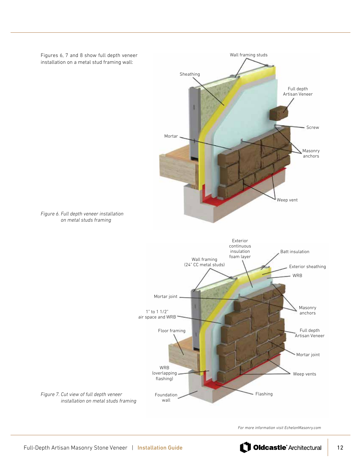

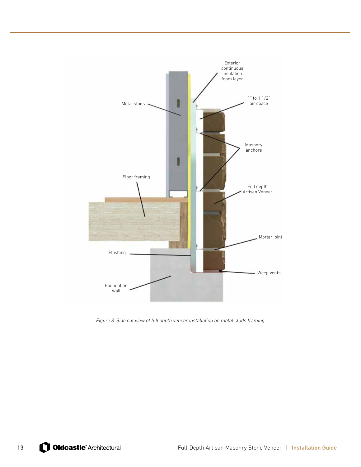

*Figure 8. Side cut view of full depth veneer installation on metal studs framing*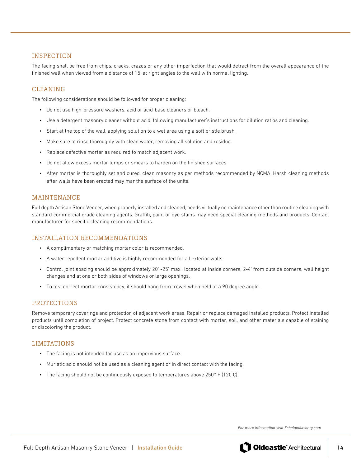#### INSPECTION

The facing shall be free from chips, cracks, crazes or any other imperfection that would detract from the overall appearance of the finished wall when viewed from a distance of 15' at right angles to the wall with normal lighting.

## CLEANING

The following considerations should be followed for proper cleaning:

- Do not use high-pressure washers, acid or acid-base cleaners or bleach.
- Use a detergent masonry cleaner without acid, following manufacturer's instructions for dilution ratios and cleaning.
- Start at the top of the wall, applying solution to a wet area using a soft bristle brush.
- Make sure to rinse thoroughly with clean water, removing all solution and residue.
- Replace defective mortar as required to match adjacent work.
- Do not allow excess mortar lumps or smears to harden on the finished surfaces.
- After mortar is thoroughly set and cured, clean masonry as per methods recommended by NCMA. Harsh cleaning methods after walls have been erected may mar the surface of the units.

#### MAINTENANCE

Full depth Artisan Stone Veneer, when properly installed and cleaned, needs virtually no maintenance other than routine cleaning with standard commercial grade cleaning agents. Graffiti, paint or dye stains may need special cleaning methods and products. Contact manufacturer for specific cleaning recommendations.

#### INSTALLATION RECOMMENDATIONS

- A complimentary or matching mortar color is recommended.
- A water repellent mortar additive is highly recommended for all exterior walls.
- Control joint spacing should be approximately 20' -25' max., located at inside corners, 2-4' from outside corners, wall height changes and at one or both sides of windows or large openings.
- To test correct mortar consistency, it should hang from trowel when held at a 90 degree angle.

#### PROTECTIONS

Remove temporary coverings and protection of adjacent work areas. Repair or replace damaged installed products. Protect installed products until completion of project. Protect concrete stone from contact with mortar, soil, and other materials capable of staining or discoloring the product.

#### LIMITATIONS

- The facing is not intended for use as an impervious surface.
- Muriatic acid should not be used as a cleaning agent or in direct contact with the facing.
- The facing should not be continuously exposed to temperatures above  $250^{\circ}$  F (120 C).